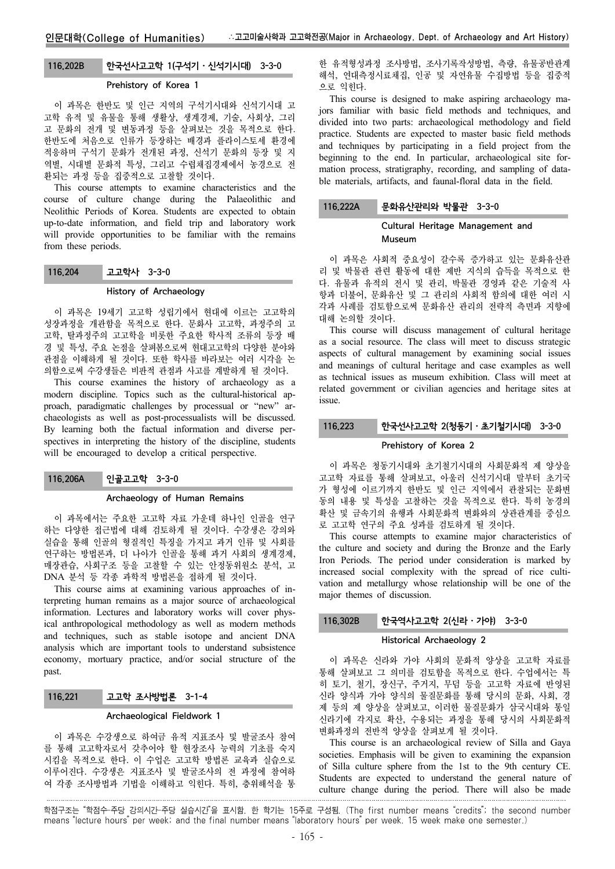# 116.202B 한국선사고고학 1(구석기⋅신석기시대) 3-3-0

### Prehistory of Korea 1

이 과목은 한반도 및 인근 지역의 구석기시대와 신석기시대 고 고학 유적 및 유물을 통해 생활상, 생계경제, 기술, 사회상, 그리 고 문화의 전개 및 변동과정 등을 살펴보는 것을 목적으로 한다. 한반도에 처음으로 인류가 등장하는 배경과 플라이스토세 환경에 적응하며 구석기 문화가 전개된 과정, 신석기 문화의 등장 및 지 역별, 시대별 문화적 특성, 그리고 수렵채집경제에서 농경으로 전 환되는 과정 등을 집중적으로 고찰할 것이다.

This course attempts to examine characteristics and the course of culture change during the Palaeolithic and Neolithic Periods of Korea. Students are expected to obtain up-to-date information, and field trip and laboratory work will provide opportunities to be familiar with the remains from these periods.

# 116.204 고고학사 3-3-0

### History of Archaeology

이 과목은 19세기 고고학 성립기에서 현대에 이르는 고고학의 성장과정을 개관함을 목적으로 한다. 문화사 고고학, 과정주의 고 고학, 탈과정주의 고고학을 비롯한 주요한 학사적 조류의 등장 배 경 및 특성, 주요 논점을 살펴봄으로써 현대고고학의 다양한 분야와 관점을 이해하게 될 것이다. 또한 학사를 바라보는 여러 시각을 논 의함으로써 수강생들은 비판적 관점과 사고를 계발하게 될 것이다.

This course examines the history of archaeology as a modern discipline. Topics such as the cultural-historical approach, paradigmatic challenges by processual or "new" archaeologists as well as post-processualists will be discussed. By learning both the factual information and diverse perspectives in interpreting the history of the discipline, students will be encouraged to develop a critical perspective.

# 116.206A 인골고고학 3-3-0

#### Archaeology of Human Remains

이 과목에서는 주요한 고고학 자료 가운데 하나인 인골을 연구 하는 다양한 접근법에 대해 검토하게 될 것이다. 수강생은 강의와 실습을 통해 인골의 형질적인 특징을 가지고 과거 인류 및 사회를 연구하는 방법론과, 더 나아가 인골을 통해 과거 사회의 생계경제, 매장관습, 사회구조 등을 고찰할 수 있는 안정동위원소 분석, 고 DNA 분석 등 각종 과학적 방법론을 접하게 될 것이다.

This course aims at examining various approaches of interpreting human remains as a major source of archaeological information. Lectures and laboratory works will cover physical anthropological methodology as well as modern methods and techniques, such as stable isotope and ancient DNA analysis which are important tools to understand subsistence economy, mortuary practice, and/or social structure of the past.

### 116.221 고고학 조사방법론 3-1-4

### Archaeological Fieldwork 1

이 과목은 수강생으로 하여금 유적 지표조사 및 발굴조사 참여 를 통해 고고학자로서 갖추어야 할 현장조사 능력의 기초를 숙지 시킴을 목적으로 한다. 이 수업은 고고학 방법론 교육과 실습으로 이루어진다. 수강생은 지표조사 및 발굴조사의 전 과정에 참여하 여 각종 조사방법과 기법을 이해하고 익힌다. 특히, 층위해석을 통

한 유적형성과정 조사방법, 조사기록작성방법, 측량, 유물공반관계 해석, 연대측정시료채집, 인공 및 자연유물 수집방법 등을 집중적 으로 익힌다.

This course is designed to make aspiring archaeology majors familiar with basic field methods and techniques, and divided into two parts: archaeological methodology and field practice. Students are expected to master basic field methods and techniques by participating in a field project from the beginning to the end. In particular, archaeological site formation process, stratigraphy, recording, and sampling of datable materials, artifacts, and faunal-floral data in the field.

## 116.222A 문화유산관리와 박물관 3-3-0

## Cultural Heritage Management and Museum

이 과목은 사회적 중요성이 갈수록 증가하고 있는 문화유산관 리 및 박물관 관련 활동에 대한 제반 지식의 습득을 목적으로 한 다. 유물과 유적의 전시 및 관리, 박물관 경영과 같은 기술적 사 항과 더불어, 문화유산 및 그 관리의 사회적 함의에 대한 여러 시 각과 사례를 검토함으로써 문화유산 관리의 전략적 측면과 지향에 대해 논의할 것이다.

This course will discuss management of cultural heritage as a social resource. The class will meet to discuss strategic aspects of cultural management by examining social issues and meanings of cultural heritage and case examples as well as technical issues as museum exhibition. Class will meet at related government or civilian agencies and heritage sites at issue.

### 116.223 한국선사고고학 2(청동기⋅초기철기시대) 3-3-0

#### Prehistory of Korea 2

이 과목은 청동기시대와 초기철기시대의 사회문화적 제 양상을 고고학 자료를 통해 살펴보고, 아울러 신석기시대 말부터 초기국 가 형성에 이르기까지 한반도 및 인근 지역에서 관찰되는 문화변 동의 내용 및 특성을 고찰하는 것을 목적으로 한다. 특히 농경의 확산 및 금속기의 유행과 사회문화적 변화와의 상관관계를 중심으 로 고고학 연구의 주요 성과를 검토하게 될 것이다.

This course attempts to examine major characteristics of the culture and society and during the Bronze and the Early Iron Periods. The period under consideration is marked by increased social complexity with the spread of rice cultivation and metallurgy whose relationship will be one of the major themes of discussion.

# 116.302B 한국역사고고학 2(신라⋅가야) 3-3-0

#### Historical Archaeology 2

이 과목은 신라와 가야 사회의 문화적 양상을 고고학 자료를 통해 살펴보고 그 의미를 검토함을 목적으로 한다. 수업에서는 특 히 토기, 철기, 장신구, 주거지, 무덤 등을 고고학 자료에 반영된 신라 양식과 가야 양식의 물질문화를 통해 당시의 문화, 사회, 경 제 등의 제 양상을 살펴보고, 이러한 물질문화가 삼국시대와 통일 신라기에 각지로 확산, 수용되는 과정을 통해 당시의 사회문화적 변화과정의 전반적 양상을 살펴보게 될 것이다.

This course is an archaeological review of Silla and Gaya societies. Emphasis will be given to examining the expansion of Silla culture sphere from the 1st to the 9th century CE. Students are expected to understand the general nature of culture change during the period. There will also be made

학점구조는 "학점수-주당 강의시간-주당 실습시간"을 표시함. 한 학기는 15주로 구성됨. (The first number means "credits"; the second number means "lecture hours" per week; and the final number means "laboratory hours" per week. 15 week make one semester.)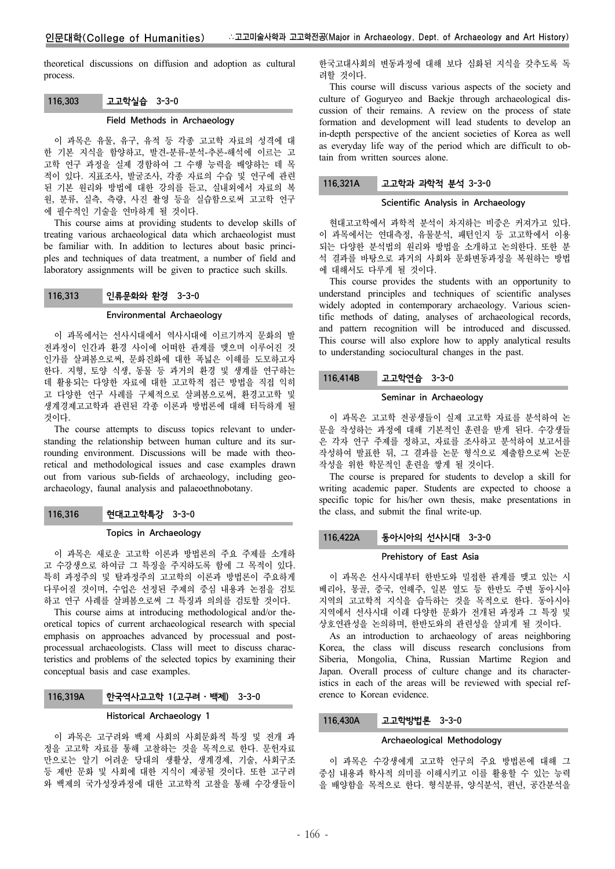theoretical discussions on diffusion and adoption as cultural process.

# 116.303 고고학실습 3-3-0

### Field Methods in Archaeology

이 과목은 유물, 유구, 유적 등 각종 고고학 자료의 성격에 대 한 기본 지식을 함양하고, 발견-분류-분석-추론-해석에 이르는 고 고학 연구 과정을 실제 경함하여 그 수행 능력을 배양하는 데 목 적이 있다. 지표조사, 발굴조사, 각종 자료의 수습 및 연구에 관련 된 기본 원리와 방법에 대한 강의를 듣고, 실내외에서 자료의 복 원, 분류, 실측, 측량, 사진 촬영 등을 실습함으로써 고고학 연구 에 필수적인 기술을 연마하게 될 것이다.

This course aims at providing students to develop skills of treating various archaeological data which archaeologist must be familiar with. In addition to lectures about basic principles and techniques of data treatment, a number of field and laboratory assignments will be given to practice such skills.

# 116.313 인류문화와 환경 3-3-0

#### Environmental Archaeology

이 과목에서는 선사시대에서 역사시대에 이르기까지 문화의 발 전과정이 인간과 환경 사이에 어떠한 관계를 맺으며 이루어진 것 인가를 살펴봄으로써, 문화진화에 대한 폭넓은 이해를 도모하고자 한다. 지형, 토양 식생, 동물 등 과거의 환경 및 생계를 연구하는 데 활용되는 다양한 자료에 대한 고고학적 접근 방법을 직접 익히 고 다양한 연구 사례를 구체적으로 살펴봄으로써, 환경고고학 및 생계경제고고학과 관련된 각종 이론과 방법론에 대해 터득하게 될 것이다.

The course attempts to discuss topics relevant to understanding the relationship between human culture and its surrounding environment. Discussions will be made with theoretical and methodological issues and case examples drawn out from various sub-fields of archaeology, including geoarchaeology, faunal analysis and palaeoethnobotany.

# 116.316 현대고고학특강 3-3-0

# Topics in Archaeology

이 과목은 새로운 고고학 이론과 방법론의 주요 주제를 소개하 고 수강생으로 하여금 그 특징을 주지하도록 함에 그 목적이 있다. 특히 과정주의 및 탈과정주의 고고학의 이론과 방법론이 주요하게 다루어질 것이며, 수업은 선정된 주제의 중심 내용과 논점을 검토 하고 연구 사례를 살펴봄으로써 그 특징과 의의를 검토할 것이다.

This course aims at introducing methodological and/or theoretical topics of current archaeological research with special emphasis on approaches advanced by processual and postprocessual archaeologists. Class will meet to discuss characteristics and problems of the selected topics by examining their conceptual basis and case examples.

# 116.319A 한국역사고고학 1(고구려⋅백제) 3-3-0

### Historical Archaeology 1

이 과목은 고구려와 백제 사회의 사회문화적 특징 및 전개 과 정을 고고학 자료를 통해 고찰하는 것을 목적으로 한다. 문헌자료 만으로는 알기 어려운 당대의 생활상, 생계경제, 기술, 사회구조 등 제반 문화 및 사회에 대한 지식이 제공될 것이다. 또한 고구려 와 백제의 국가성장과정에 대한 고고학적 고찰을 통해 수강생들이 한국고대사회의 변동과정에 대해 보다 심화된 지식을 갖추도록 독 려할 것이다.

This course will discuss various aspects of the society and culture of Goguryeo and Baekje through archaeological discussion of their remains. A review on the process of state formation and development will lead students to develop an in-depth perspective of the ancient societies of Korea as well as everyday life way of the period which are difficult to obtain from written sources alone.

# 116.321A 고고학과 과학적 분석 3-3-0

### Scientific Analysis in Archaeology

현대고고학에서 과학적 분석이 차지하는 비중은 커져가고 있다. 이 과목에서는 연대측정, 유물분석, 패턴인지 등 고고학에서 이용 되는 다양한 분석법의 원리와 방법을 소개하고 논의한다. 또한 분 석 결과를 바탕으로 과거의 사회와 문화변동과정을 복원하는 방법 에 대해서도 다루게 될 것이다.

This course provides the students with an opportunity to understand principles and techniques of scientific analyses widely adopted in contemporary archaeology. Various scientific methods of dating, analyses of archaeological records, and pattern recognition will be introduced and discussed. This course will also explore how to apply analytical results to understanding sociocultural changes in the past.

# 116.414B 고고학연습 3-3-0

#### Seminar in Archaeology

이 과목은 고고학 전공생들이 실제 고고학 자료를 분석하여 논 문을 작성하는 과정에 대해 기본적인 훈련을 받게 된다. 수강생들 은 각자 연구 주제를 정하고, 자료를 조사하고 분석하여 보고서를 작성하여 발표한 뒤, 그 결과를 논문 형식으로 제출함으로써 논문 작성을 위한 학문적인 훈련을 쌓게 될 것이다.

The course is prepared for students to develop a skill for writing academic paper. Students are expected to choose a specific topic for his/her own thesis, make presentations in the class, and submit the final write-up.

# 116.422A 동아시아의 선사시대 3-3-0

#### Prehistory of East Asia

이 과목은 선사시대부터 한반도와 밀접한 관계를 맺고 있는 시 베리아, 몽골, 중국, 연해주, 일본 열도 등 한반도 주변 동아시아 지역의 고고학적 지식을 습득하는 것을 목적으로 한다. 동아시아 지역에서 선사시대 이래 다양한 문화가 전개된 과정과 그 특징 및 상호연관성을 논의하며, 한반도와의 관련성을 살피게 될 것이다.

As an introduction to archaeology of areas neighboring Korea, the class will discuss research conclusions from Siberia, Mongolia, China, Russian Martime Region and Japan. Overall process of culture change and its characteristics in each of the areas will be reviewed with special reference to Korean evidence.

### 116.430A 고고학방법론 3-3-0

#### Archaeological Methodology

이 과목은 수강생에게 고고학 연구의 주요 방법론에 대해 그 중심 내용과 학사적 의미를 이해시키고 이를 활용할 수 있는 능력 을 배양함을 목적으로 한다. 형식분류, 양식분석, 편년, 공간분석을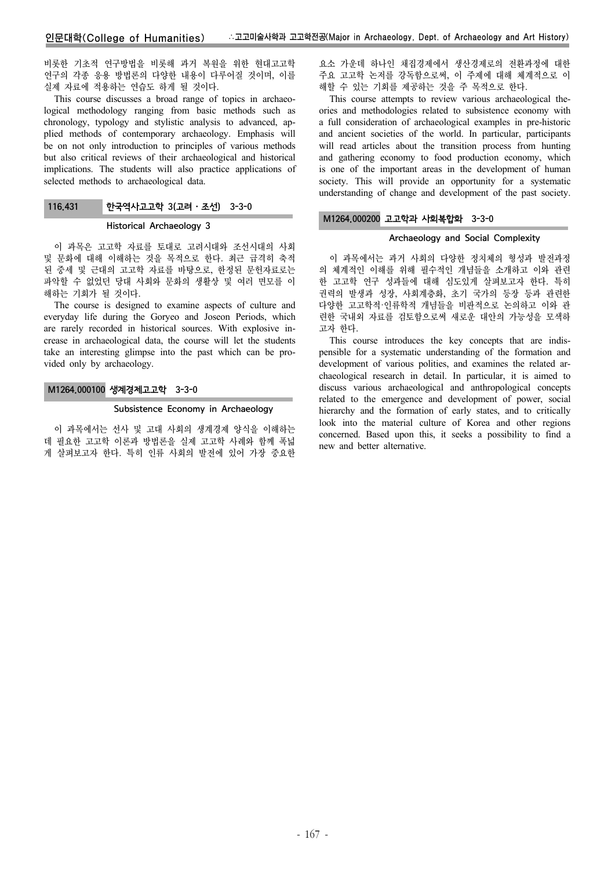비롯한 기초적 연구방법을 비롯해 과거 복원을 위한 현대고고학 연구의 각종 응용 방법론의 다양한 내용이 다루어질 것이며, 이를 실제 자료에 적용하는 연습도 하게 될 것이다.

This course discusses a broad range of topics in archaeological methodology ranging from basic methods such as chronology, typology and stylistic analysis to advanced, applied methods of contemporary archaeology. Emphasis will be on not only introduction to principles of various methods but also critical reviews of their archaeological and historical implications. The students will also practice applications of selected methods to archaeological data.

# 116.431 한국역사고고학 3(고려⋅조선) 3-3-0

#### Historical Archaeology 3

이 과목은 고고학 자료를 토대로 고려시대와 조선시대의 사회 및 문화에 대해 이해하는 것을 목적으로 한다. 최근 급격히 축적 된 중세 및 근대의 고고학 자료를 바탕으로, 한정된 문헌자료로는 파악할 수 없었던 당대 사회와 문화의 생활상 및 여러 면모를 이 해하는 기회가 될 것이다.

The course is designed to examine aspects of culture and everyday life during the Goryeo and Joseon Periods, which are rarely recorded in historical sources. With explosive increase in archaeological data, the course will let the students take an interesting glimpse into the past which can be provided only by archaeology.

# M1264.000100 생계경제고고학 3-3-0

#### Subsistence Economy in Archaeology

이 과목에서는 선사 및 고대 사회의 생계경제 양식을 이해하는 데 필요한 고고학 이론과 방법론을 실제 고고학 사례와 함께 폭넓 게 살펴보고자 한다. 특히 인류 사회의 발전에 있어 가장 중요한

요소 가운데 하나인 채집경제에서 생산경제로의 전환과정에 대한 주요 고고학 논저를 강독함으로써, 이 주제에 대해 체계적으로 이 해할 수 있는 기회를 제공하는 것을 주 목적으로 한다.

This course attempts to review various archaeological theories and methodologies related to subsistence economy with a full consideration of archaeological examples in pre-historic and ancient societies of the world. In particular, participants will read articles about the transition process from hunting and gathering economy to food production economy, which is one of the important areas in the development of human society. This will provide an opportunity for a systematic understanding of change and development of the past society.

### M1264.000200 고고학과 사회복합화 3-3-0

# Archaeology and Social Complexity

이 과목에서는 과거 사회의 다양한 정치체의 형성과 발전과정 의 체계적인 이해를 위해 필수적인 개념들을 소개하고 이와 관련 한 고고학 연구 성과들에 대해 심도있게 살펴보고자 한다. 특히 권력의 발생과 성장, 사회계층화, 초기 국가의 등장 등과 관련한 다양한 고고학적·인류학적 개념들을 비판적으로 논의하고 이와 관 련한 국내외 자료를 검토함으로써 새로운 대안의 가능성을 모색하 고자 한다.

This course introduces the key concepts that are indispensible for a systematic understanding of the formation and development of various polities, and examines the related archaeological research in detail. In particular, it is aimed to discuss various archaeological and anthropological concepts related to the emergence and development of power, social hierarchy and the formation of early states, and to critically look into the material culture of Korea and other regions concerned. Based upon this, it seeks a possibility to find a new and better alternative.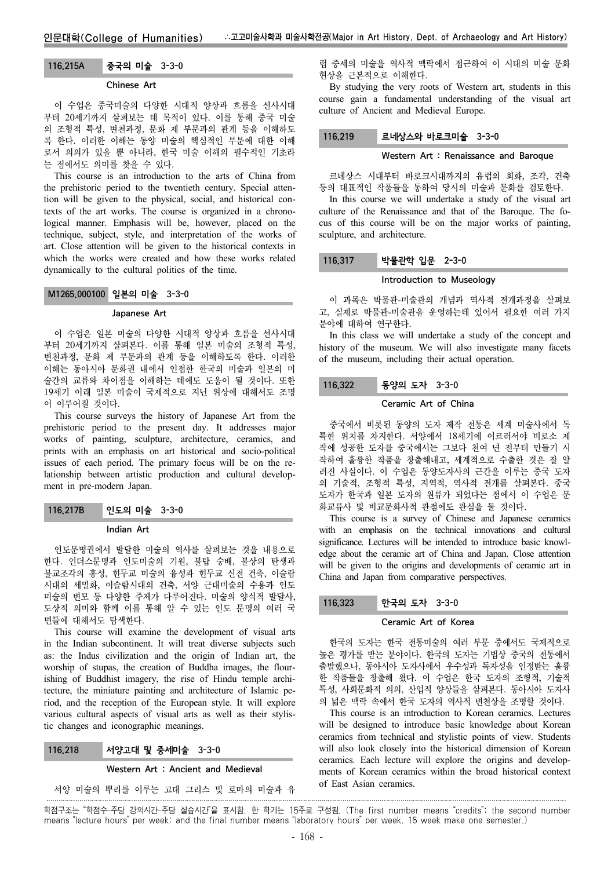#### 116.215A 중국의 미술 3-3-0

#### Chinese Art

이 수업은 중국미술의 다양한 시대적 양상과 흐름을 선사시대 부터 20세기까지 살펴보는 데 목적이 있다. 이를 통해 중국 미술 의 조형적 특성, 변천과정, 문화 제 부문과의 관계 등을 이해하도 록 한다. 이러한 이해는 동양 미술의 핵심적인 부분에 대한 이해 로서 의의가 있을 뿐 아니라, 한국 미술 이해의 필수적인 기초라 는 점에서도 의미를 찾을 수 있다.

This course is an introduction to the arts of China from the prehistoric period to the twentieth century. Special attention will be given to the physical, social, and historical contexts of the art works. The course is organized in a chronological manner. Emphasis will be, however, placed on the technique, subject, style, and interpretation of the works of art. Close attention will be given to the historical contexts in which the works were created and how these works related dynamically to the cultural politics of the time.

### M1265.000100 일본의 미술 3-3-0

# Japanese Art

이 수업은 일본 미술의 다양한 시대적 양상과 흐름을 선사시대 부터 20세기까지 살펴본다. 이를 통해 일본 미술의 조형적 특성, 변천과정, 문화 제 부문과의 관계 등을 이해하도록 한다. 이러한 이해는 동아시아 문화권 내에서 인접한 한국의 미술과 일본의 미 술간의 교류와 차이점을 이해하는 데에도 도움이 될 것이다. 또한 19세기 이래 일본 미술이 국제적으로 지닌 위상에 대해서도 조명 이 이루어질 것이다.

This course surveys the history of Japanese Art from the prehistoric period to the present day. It addresses major works of painting, sculpture, architecture, ceramics, and prints with an emphasis on art historical and socio-political issues of each period. The primary focus will be on the relationship between artistic production and cultural development in pre-modern Japan.

| 116,217B | 인도의 미술 3-3-0 |  |
|----------|--------------|--|
|----------|--------------|--|

Indian Art

인도문명권에서 발달한 미술의 역사를 살펴보는 것을 내용으로 한다. 인더스문명과 인도미술의 기원, 불탑 숭배, 불상의 탄생과 불교조각의 흥성, 힌두교 미술의 융성과 힌두교 신전 건축, 이슬람 시대의 세밀화, 이슬람시대의 건축, 서양 근대미술의 수용과 인도 미술의 변모 등 다양한 주제가 다루어진다. 미술의 양식적 발달사, 도상적 의미와 함께 이를 통해 알 수 있는 인도 문명의 여러 국 면들에 대해서도 탐색한다.

This course will examine the development of visual arts in the Indian subcontinent. It will treat diverse subjects such as: the Indus civilization and the origin of Indian art, the worship of stupas, the creation of Buddha images, the flourishing of Buddhist imagery, the rise of Hindu temple architecture, the miniature painting and architecture of Islamic period, and the reception of the European style. It will explore various cultural aspects of visual arts as well as their stylistic changes and iconographic meanings.

# 116.218 서양고대 및 중세미술 3-3-0

#### Western Art : Ancient and Medieval

서양 미술의 뿌리를 이루는 고대 그리스 및 로마의 미술과 유

럽 중세의 미술을 역사적 맥락에서 접근하여 이 시대의 미술 문화 현상을 근본적으로 이해한다.

By studying the very roots of Western art, students in this course gain a fundamental understanding of the visual art culture of Ancient and Medieval Europe.

#### 116.219 르네상스와 바로크미술 3-3-0

#### Western Art : Renaissance and Baroque

르네상스 시대부터 바로크시대까지의 유럽의 회화, 조각, 건축 등의 대표적인 작품들을 통하여 당시의 미술과 문화를 검토한다.

In this course we will undertake a study of the visual art culture of the Renaissance and that of the Baroque. The focus of this course will be on the major works of painting, sculpture, and architecture.

#### 116.317 박물관학 입문 2-3-0

#### Introduction to Museology

이 과목은 박물관-미술관의 개념과 역사적 전개과정을 살펴보 고, 실제로 박물관-미술관을 운영하는데 있어서 필요한 여러 가지 분야에 대하여 연구한다.

In this class we will undertake a study of the concept and history of the museum. We will also investigate many facets of the museum, including their actual operation.

### 116.322 동양의 도자 3-3-0

### Ceramic Art of China

중국에서 비롯된 동양의 도자 제작 전통은 세계 미술사에서 독 특한 위치를 차지한다. 서양에서 18세기에 이르러서야 비로소 제 작에 성공한 도자를 중국에서는 그보다 천여 년 전부터 만들기 시 작하여 훌륭한 작품을 창출해내고, 세계적으로 수출한 것은 잘 알 려진 사실이다. 이 수업은 동양도자사의 근간을 이루는 중국 도자 의 기술적, 조형적 특성, 지역적, 역사적 전개를 살펴본다. 중국 도자가 한국과 일본 도자의 원류가 되었다는 점에서 이 수업은 문 화교류사 및 비교문화사적 관점에도 관심을 둘 것이다.

This course is a survey of Chinese and Japanese ceramics with an emphasis on the technical innovations and cultural significance. Lectures will be intended to introduce basic knowledge about the ceramic art of China and Japan. Close attention will be given to the origins and developments of ceramic art in China and Japan from comparative perspectives.

# 116.323 한국의 도자 3-3-0

#### Ceramic Art of Korea

한국의 도자는 한국 전통미술의 여러 부문 중에서도 국제적으로 높은 평가를 받는 분야이다. 한국의 도자는 기법상 중국의 전통에서 출발했으나, 동아시아 도자사에서 우수성과 독자성을 인정받는 훌륭 한 작품들을 창출해 왔다. 이 수업은 한국 도자의 조형적, 기술적 특성, 사회문화적 의의, 산업적 양상들을 살펴본다. 동아시아 도자사 의 넓은 맥락 속에서 한국 도자의 역사적 변천상을 조명할 것이다.

This course is an introduction to Korean ceramics. Lectures will be designed to introduce basic knowledge about Korean ceramics from technical and stylistic points of view. Students will also look closely into the historical dimension of Korean ceramics. Each lecture will explore the origins and developments of Korean ceramics within the broad historical context of East Asian ceramics.

학점구조는 "학점수-주당 강의시간-주당 실습시간"을 표시함. 한 학기는 15주로 구성됨. (The first number means "credits"; the second number means "lecture hours" per week; and the final number means "laboratory hours" per week. 15 week make one semester.)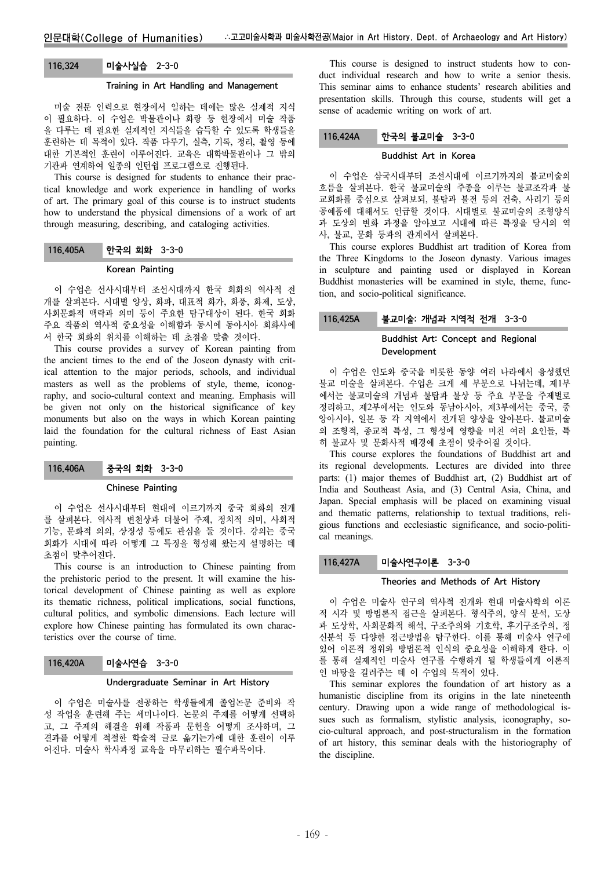# 116.324 미술사실습 2-3-0

### Training in Art Handling and Management

미술 전문 인력으로 현장에서 일하는 데에는 많은 실제적 지식 이 필요하다. 이 수업은 박물관이나 화랑 등 현장에서 미술 작품 을 다루는 데 필요한 실제적인 지식들을 습득할 수 있도록 학생들을 훈련하는 데 목적이 있다. 작품 다루기, 실측, 기록, 정리, 촬영 등에 대한 기본적인 훈련이 이루어진다. 교육은 대학박물관이나 그 밖의 기관과 연계하여 일종의 인턴쉽 프로그램으로 진행된다.

This course is designed for students to enhance their practical knowledge and work experience in handling of works of art. The primary goal of this course is to instruct students how to understand the physical dimensions of a work of art through measuring, describing, and cataloging activities.

### 116.405A 한국의 회화 3-3-0

#### Korean Painting

이 수업은 선사시대부터 조선시대까지 한국 회화의 역사적 전 개를 살펴본다. 시대별 양상, 화파, 대표적 화가, 화풍, 화제, 도상, 사회문화적 맥락과 의미 등이 주요한 탐구대상이 된다. 한국 회화 주요 작품의 역사적 중요성을 이해함과 동시에 동아시아 회화사에 서 한국 회화의 위치를 이해하는 데 초점을 맞출 것이다.

This course provides a survey of Korean painting from the ancient times to the end of the Joseon dynasty with critical attention to the major periods, schools, and individual masters as well as the problems of style, theme, iconography, and socio-cultural context and meaning. Emphasis will be given not only on the historical significance of key monuments but also on the ways in which Korean painting laid the foundation for the cultural richness of East Asian painting.

### 116.406A 중국의 회화 3-3-0

#### Chinese Painting

이 수업은 선사시대부터 현대에 이르기까지 중국 회화의 전개 를 살펴본다. 역사적 변천상과 더불어 주제, 정치적 의미, 사회적 기능, 문화적 의의, 상징성 등에도 관심을 둘 것이다. 강의는 중국 회화가 시대에 따라 어떻게 그 특징을 형성해 왔는지 설명하는 데 초점이 맞추어진다.

This course is an introduction to Chinese painting from the prehistoric period to the present. It will examine the historical development of Chinese painting as well as explore its thematic richness, political implications, social functions, cultural politics, and symbolic dimensions. Each lecture will explore how Chinese painting has formulated its own characteristics over the course of time.

#### 116.420A 미술사연습 3-3-0

#### Undergraduate Seminar in Art History

이 수업은 미술사를 전공하는 학생들에게 졸업논문 준비와 작 성 작업을 훈련해 주는 세미나이다. 논문의 주제를 어떻게 선택하 고, 그 주제의 해결을 위해 작품과 문헌을 어떻게 조사하며, 그 결과를 어떻게 적절한 학술적 글로 옮기는가에 대한 훈련이 이루 어진다. 미술사 학사과정 교육을 마무리하는 필수과목이다.

This course is designed to instruct students how to conduct individual research and how to write a senior thesis. This seminar aims to enhance students' research abilities and presentation skills. Through this course, students will get a sense of academic writing on work of art.

### 116.424A 한국의 불교미술 3-3-0

#### Buddhist Art in Korea

이 수업은 삼국시대부터 조선시대에 이르기까지의 불교미술의 흐름을 살펴본다. 한국 불교미술의 주종을 이루는 불교조각과 불 교회화를 중심으로 살펴보되, 불탑과 불전 등의 건축, 사리기 등의 공예품에 대해서도 언급할 것이다. 시대별로 불교미술의 조형양식 과 도상의 변화 과정을 알아보고 시대에 따른 특징을 당시의 역 사, 불교, 문화 등과의 관계에서 살펴본다.

This course explores Buddhist art tradition of Korea from the Three Kingdoms to the Joseon dynasty. Various images in sculpture and painting used or displayed in Korean Buddhist monasteries will be examined in style, theme, function, and socio-political significance.

### 116.425A 불교미술: 개념과 지역적 전개 3-3-0

# Buddhist Art: Concept and Regional Development

이 수업은 인도와 중국을 비롯한 동양 여러 나라에서 융성했던 불교 미술을 살펴본다. 수업은 크게 세 부분으로 나뉘는데, 제1부 에서는 불교미술의 개념과 불탑과 불상 등 주요 부문을 주제별로 정리하고, 제2부에서는 인도와 동남아시아, 제3부에서는 중국, 중 앙아시아, 일본 등 각 지역에서 전개된 양상을 알아본다. 불교미술 의 조형적, 종교적 특성, 그 형성에 영향을 미친 여러 요인들, 특 히 불교사 및 문화사적 배경에 초점이 맞추어질 것이다.

This course explores the foundations of Buddhist art and its regional developments. Lectures are divided into three parts: (1) major themes of Buddhist art, (2) Buddhist art of India and Southeast Asia, and (3) Central Asia, China, and Japan. Special emphasis will be placed on examining visual and thematic patterns, relationship to textual traditions, religious functions and ecclesiastic significance, and socio-political meanings.

### 116.427A 미술사연구이론 3-3-0

#### Theories and Methods of Art History

이 수업은 미술사 연구의 역사적 전개와 현대 미술사학의 이론 적 시각 및 방법론적 접근을 살펴본다. 형식주의, 양식 분석, 도상 과 도상학, 사회문화적 해석, 구조주의와 기호학, 후기구조주의, 정 신분석 등 다양한 접근방법을 탐구한다. 이를 통해 미술사 연구에 있어 이론적 정위와 방법론적 인식의 중요성을 이해하게 한다. 이 를 통해 실제적인 미술사 연구를 수행하게 될 학생들에게 이론적 인 바탕을 길러주는 데 이 수업의 목적이 있다.

This seminar explores the foundation of art history as a humanistic discipline from its origins in the late nineteenth century. Drawing upon a wide range of methodological issues such as formalism, stylistic analysis, iconography, socio-cultural approach, and post-structuralism in the formation of art history, this seminar deals with the historiography of the discipline.